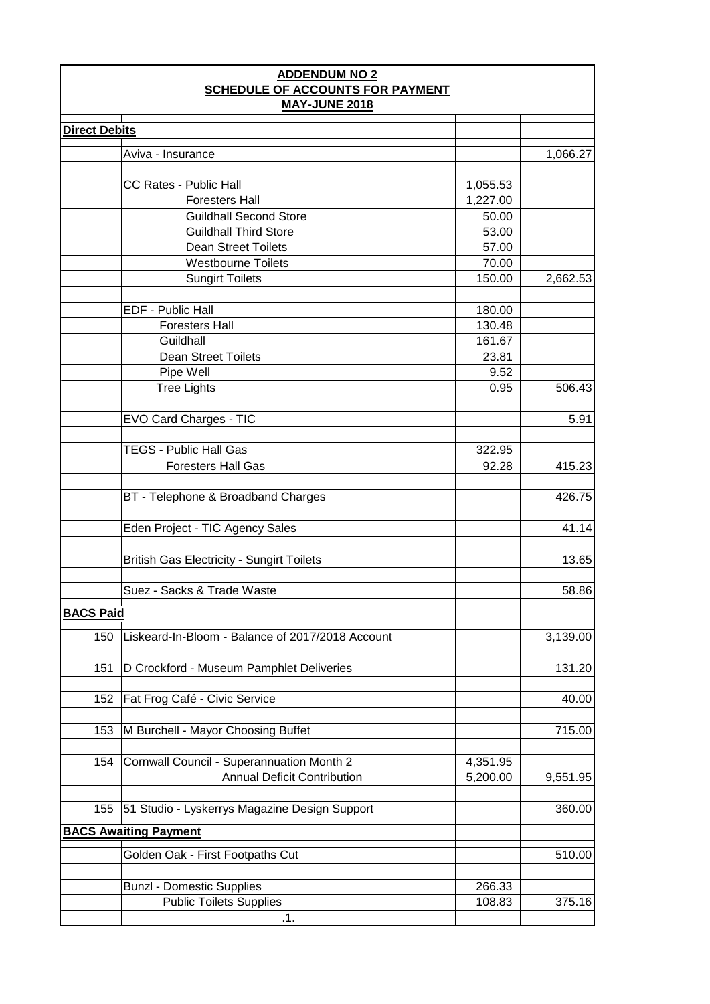| <b>ADDENDUM NO 2</b>                                     |                                                  |          |          |  |  |  |
|----------------------------------------------------------|--------------------------------------------------|----------|----------|--|--|--|
| SCHEDULE OF ACCOUNTS FOR PAYMENT<br><b>MAY-JUNE 2018</b> |                                                  |          |          |  |  |  |
| <b>Direct Debits</b>                                     |                                                  |          |          |  |  |  |
|                                                          | Aviva - Insurance                                |          | 1,066.27 |  |  |  |
|                                                          |                                                  |          |          |  |  |  |
|                                                          | <b>CC Rates - Public Hall</b>                    | 1,055.53 |          |  |  |  |
|                                                          | <b>Foresters Hall</b>                            | 1,227.00 |          |  |  |  |
|                                                          | <b>Guildhall Second Store</b>                    | 50.00    |          |  |  |  |
|                                                          | <b>Guildhall Third Store</b>                     | 53.00    |          |  |  |  |
|                                                          | <b>Dean Street Toilets</b>                       | 57.00    |          |  |  |  |
|                                                          | <b>Westbourne Toilets</b>                        | 70.00    |          |  |  |  |
|                                                          | <b>Sungirt Toilets</b>                           | 150.00   | 2,662.53 |  |  |  |
|                                                          | EDF - Public Hall                                | 180.00   |          |  |  |  |
|                                                          | <b>Foresters Hall</b>                            | 130.48   |          |  |  |  |
|                                                          | Guildhall                                        | 161.67   |          |  |  |  |
|                                                          | <b>Dean Street Toilets</b>                       | 23.81    |          |  |  |  |
|                                                          | Pipe Well                                        | 9.52     |          |  |  |  |
|                                                          | <b>Tree Lights</b>                               | 0.95     | 506.43   |  |  |  |
|                                                          | EVO Card Charges - TIC                           |          | 5.91     |  |  |  |
|                                                          | <b>TEGS - Public Hall Gas</b>                    | 322.95   |          |  |  |  |
|                                                          | <b>Foresters Hall Gas</b>                        | 92.28    | 415.23   |  |  |  |
|                                                          |                                                  |          |          |  |  |  |
|                                                          | BT - Telephone & Broadband Charges               |          | 426.75   |  |  |  |
|                                                          | Eden Project - TIC Agency Sales                  |          | 41.14    |  |  |  |
|                                                          | <b>British Gas Electricity - Sungirt Toilets</b> |          | 13.65    |  |  |  |
|                                                          |                                                  |          |          |  |  |  |
|                                                          | Suez - Sacks & Trade Waste                       |          | 58.86    |  |  |  |
| <b>BACS Paid</b>                                         |                                                  |          |          |  |  |  |
| 150                                                      | Liskeard-In-Bloom - Balance of 2017/2018 Account |          | 3,139.00 |  |  |  |
| 151                                                      | D Crockford - Museum Pamphlet Deliveries         |          | 131.20   |  |  |  |
| 152                                                      | Fat Frog Café - Civic Service                    |          | 40.00    |  |  |  |
| 153                                                      | M Burchell - Mayor Choosing Buffet               |          | 715.00   |  |  |  |
|                                                          |                                                  |          |          |  |  |  |
| 154                                                      | Cornwall Council - Superannuation Month 2        | 4,351.95 |          |  |  |  |
|                                                          | <b>Annual Deficit Contribution</b>               | 5,200.00 | 9,551.95 |  |  |  |
| 155                                                      | 51 Studio - Lyskerrys Magazine Design Support    |          | 360.00   |  |  |  |
|                                                          | <b>BACS Awaiting Payment</b>                     |          |          |  |  |  |
|                                                          | Golden Oak - First Footpaths Cut                 |          | 510.00   |  |  |  |
|                                                          |                                                  |          |          |  |  |  |
|                                                          | <b>Bunzl - Domestic Supplies</b>                 | 266.33   |          |  |  |  |
|                                                          | <b>Public Toilets Supplies</b>                   | 108.83   | 375.16   |  |  |  |
|                                                          | .1.                                              |          |          |  |  |  |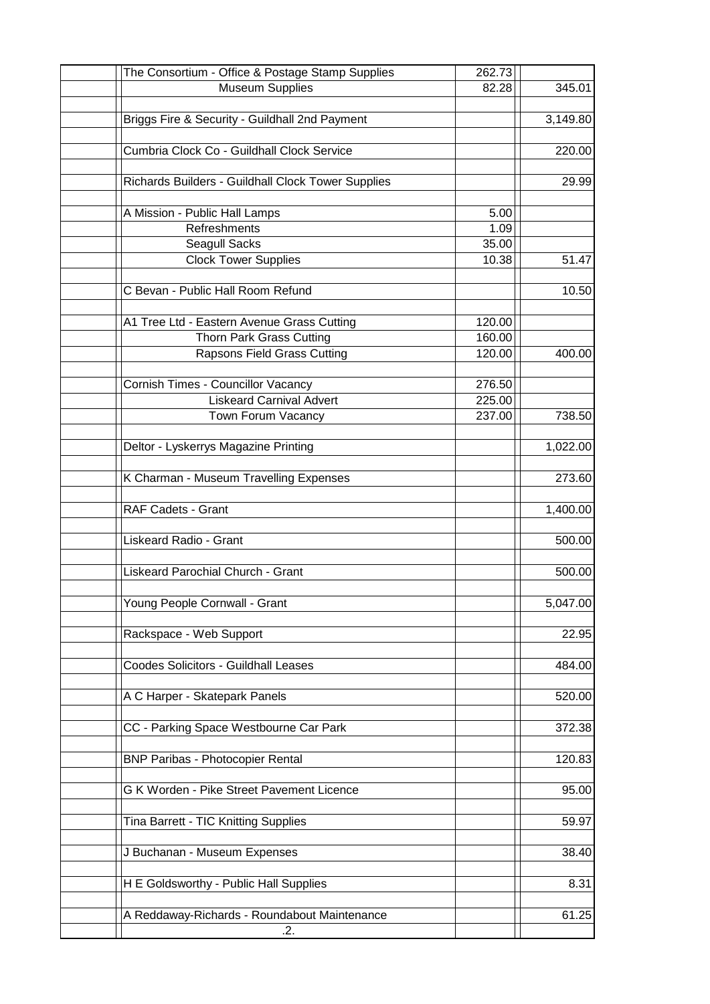| The Consortium - Office & Postage Stamp Supplies   | 262.73 |          |
|----------------------------------------------------|--------|----------|
| <b>Museum Supplies</b>                             | 82.28  | 345.01   |
|                                                    |        |          |
| Briggs Fire & Security - Guildhall 2nd Payment     |        | 3,149.80 |
|                                                    |        |          |
| Cumbria Clock Co - Guildhall Clock Service         |        | 220.00   |
|                                                    |        |          |
| Richards Builders - Guildhall Clock Tower Supplies |        | 29.99    |
|                                                    |        |          |
| A Mission - Public Hall Lamps                      | 5.00   |          |
| Refreshments                                       | 1.09   |          |
| Seagull Sacks                                      | 35.00  |          |
| <b>Clock Tower Supplies</b>                        | 10.38  | 51.47    |
|                                                    |        |          |
| C Bevan - Public Hall Room Refund                  |        | 10.50    |
|                                                    |        |          |
|                                                    |        |          |
| A1 Tree Ltd - Eastern Avenue Grass Cutting         | 120.00 |          |
| Thorn Park Grass Cutting                           | 160.00 |          |
| Rapsons Field Grass Cutting                        | 120.00 | 400.00   |
|                                                    |        |          |
| <b>Cornish Times - Councillor Vacancy</b>          | 276.50 |          |
| <b>Liskeard Carnival Advert</b>                    | 225.00 |          |
| Town Forum Vacancy                                 | 237.00 | 738.50   |
|                                                    |        |          |
| Deltor - Lyskerrys Magazine Printing               |        | 1,022.00 |
|                                                    |        |          |
| K Charman - Museum Travelling Expenses             |        | 273.60   |
|                                                    |        |          |
| RAF Cadets - Grant                                 |        | 1,400.00 |
|                                                    |        |          |
| Liskeard Radio - Grant                             |        | 500.00   |
|                                                    |        |          |
| Liskeard Parochial Church - Grant                  |        | 500.00   |
|                                                    |        |          |
| Young People Cornwall - Grant                      |        | 5,047.00 |
|                                                    |        |          |
|                                                    |        |          |
| Rackspace - Web Support                            |        | 22.95    |
|                                                    |        |          |
| Coodes Solicitors - Guildhall Leases               |        | 484.00   |
|                                                    |        |          |
| A C Harper - Skatepark Panels                      |        | 520.00   |
|                                                    |        |          |
| CC - Parking Space Westbourne Car Park             |        | 372.38   |
|                                                    |        |          |
| <b>BNP Paribas - Photocopier Rental</b>            |        | 120.83   |
|                                                    |        |          |
| G K Worden - Pike Street Pavement Licence          |        | 95.00    |
|                                                    |        |          |
| Tina Barrett - TIC Knitting Supplies               |        | 59.97    |
|                                                    |        |          |
| J Buchanan - Museum Expenses                       |        | 38.40    |
|                                                    |        |          |
| H E Goldsworthy - Public Hall Supplies             |        | 8.31     |
|                                                    |        |          |
| A Reddaway-Richards - Roundabout Maintenance       |        | 61.25    |
| .2.                                                |        |          |
|                                                    |        |          |